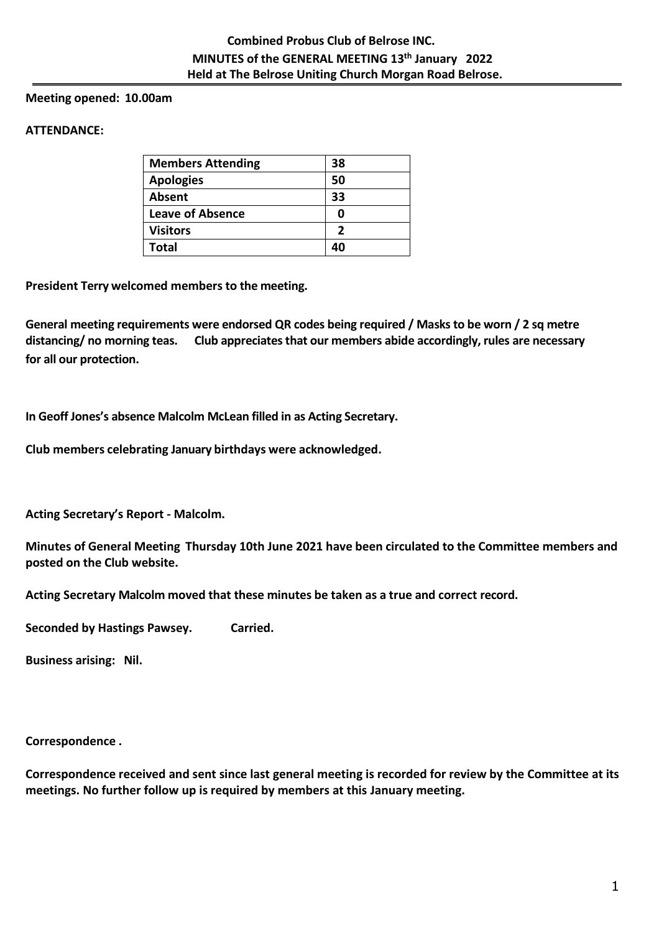# **Meeting opened: 10.00am**

# **ATTENDANCE:**

| <b>Members Attending</b> | 38 |
|--------------------------|----|
| <b>Apologies</b>         | 50 |
| Absent                   | 33 |
| <b>Leave of Absence</b>  | 0  |
| <b>Visitors</b>          | 2  |
| Total                    |    |

**President Terry welcomed members to the meeting.** 

**General meeting requirements were endorsed QR codes being required / Masks to be worn / 2 sq metre distancing/ no morning teas. Club appreciates that our members abide accordingly, rules are necessary for all our protection.**

**In Geoff Jones's absence Malcolm McLean filled in as Acting Secretary.**

**Club members celebrating January birthdays were acknowledged.**

**Acting Secretary's Report - Malcolm.**

**Minutes of General Meeting Thursday 10th June 2021 have been circulated to the Committee members and posted on the Club website.**

**Acting Secretary Malcolm moved that these minutes be taken as a true and correct record.**

**Seconded by Hastings Pawsey. Carried.**

**Business arising: Nil.**

**Correspondence .**

**Correspondence received and sent since last general meeting is recorded for review by the Committee at its meetings. No further follow up is required by members at this January meeting.**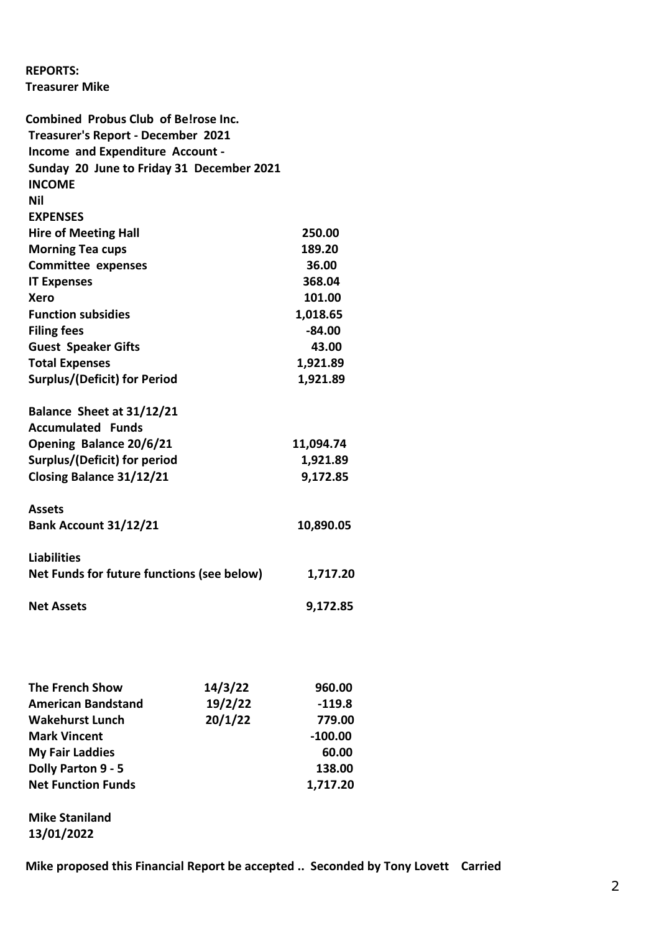**REPORTS: Treasurer Mike**

|                                                                                                                                                                                                                                                                    | <b>Combined Probus Club of Be!rose Inc.</b>                                                            |                                            |                                                         |                              |               |                                   |                                 |
|--------------------------------------------------------------------------------------------------------------------------------------------------------------------------------------------------------------------------------------------------------------------|--------------------------------------------------------------------------------------------------------|--------------------------------------------|---------------------------------------------------------|------------------------------|---------------|-----------------------------------|---------------------------------|
|                                                                                                                                                                                                                                                                    | Treasurer's Report - December 2021                                                                     |                                            |                                                         |                              |               |                                   |                                 |
| Income and Expenditure Account -<br>Sunday 20 June to Friday 31 December 2021                                                                                                                                                                                      |                                                                                                        |                                            |                                                         |                              |               |                                   |                                 |
|                                                                                                                                                                                                                                                                    |                                                                                                        |                                            |                                                         |                              | <b>INCOME</b> |                                   |                                 |
| Nil                                                                                                                                                                                                                                                                |                                                                                                        |                                            |                                                         |                              |               |                                   |                                 |
| <b>EXPENSES</b>                                                                                                                                                                                                                                                    | 250.00<br>189.20<br>36.00<br>368.04<br>101.00<br>1,018.65<br>$-84.00$<br>43.00<br>1,921.89<br>1,921.89 |                                            |                                                         |                              |               |                                   |                                 |
| <b>Hire of Meeting Hall</b><br><b>Morning Tea cups</b><br><b>Committee expenses</b><br><b>IT Expenses</b><br>Xero<br><b>Function subsidies</b><br><b>Filing fees</b><br><b>Guest Speaker Gifts</b><br><b>Total Expenses</b><br><b>Surplus/(Deficit) for Period</b> |                                                                                                        |                                            |                                                         |                              |               |                                   |                                 |
|                                                                                                                                                                                                                                                                    |                                                                                                        |                                            |                                                         |                              |               |                                   |                                 |
|                                                                                                                                                                                                                                                                    |                                                                                                        |                                            |                                                         | Balance Sheet at 31/12/21    |               |                                   |                                 |
|                                                                                                                                                                                                                                                                    |                                                                                                        |                                            |                                                         | <b>Accumulated Funds</b>     |               |                                   |                                 |
|                                                                                                                                                                                                                                                                    |                                                                                                        |                                            | Opening Balance 20/6/21<br>Surplus/(Deficit) for period |                              |               | 11,094.74<br>1,921.89<br>9,172.85 |                                 |
|                                                                                                                                                                                                                                                                    |                                                                                                        |                                            |                                                         |                              |               |                                   | <b>Closing Balance 31/12/21</b> |
|                                                                                                                                                                                                                                                                    |                                                                                                        |                                            |                                                         |                              |               |                                   |                                 |
|                                                                                                                                                                                                                                                                    |                                                                                                        |                                            | <b>Assets</b>                                           |                              |               |                                   |                                 |
|                                                                                                                                                                                                                                                                    |                                                                                                        |                                            |                                                         | <b>Bank Account 31/12/21</b> |               | 10,890.05                         |                                 |
|                                                                                                                                                                                                                                                                    |                                                                                                        |                                            |                                                         |                              |               |                                   |                                 |
| <b>Liabilities</b>                                                                                                                                                                                                                                                 |                                                                                                        |                                            |                                                         |                              |               |                                   |                                 |
|                                                                                                                                                                                                                                                                    |                                                                                                        | Net Funds for future functions (see below) | 1,717.20                                                |                              |               |                                   |                                 |
|                                                                                                                                                                                                                                                                    |                                                                                                        |                                            |                                                         |                              |               |                                   |                                 |
| <b>Net Assets</b>                                                                                                                                                                                                                                                  |                                                                                                        |                                            | 9,172.85                                                |                              |               |                                   |                                 |
|                                                                                                                                                                                                                                                                    |                                                                                                        |                                            |                                                         |                              |               |                                   |                                 |
|                                                                                                                                                                                                                                                                    |                                                                                                        |                                            |                                                         |                              |               |                                   |                                 |
|                                                                                                                                                                                                                                                                    |                                                                                                        |                                            |                                                         |                              |               |                                   |                                 |
|                                                                                                                                                                                                                                                                    |                                                                                                        |                                            |                                                         |                              |               |                                   |                                 |
|                                                                                                                                                                                                                                                                    | <b>The French Show</b>                                                                                 | 14/3/22                                    | 960.00                                                  |                              |               |                                   |                                 |
|                                                                                                                                                                                                                                                                    | <b>American Bandstand</b>                                                                              | 19/2/22                                    | $-119.8$                                                |                              |               |                                   |                                 |
|                                                                                                                                                                                                                                                                    | <b>Wakehurst Lunch</b>                                                                                 | 20/1/22                                    | 779.00                                                  |                              |               |                                   |                                 |
| <b>Mark Vincent</b>                                                                                                                                                                                                                                                |                                                                                                        |                                            | $-100.00$                                               |                              |               |                                   |                                 |
| <b>My Fair Laddies</b>                                                                                                                                                                                                                                             |                                                                                                        |                                            | 60.00                                                   |                              |               |                                   |                                 |
|                                                                                                                                                                                                                                                                    | Dolly Parton 9 - 5                                                                                     |                                            | 138.00                                                  |                              |               |                                   |                                 |
|                                                                                                                                                                                                                                                                    | <b>Net Function Funds</b>                                                                              |                                            | 1,717.20                                                |                              |               |                                   |                                 |
|                                                                                                                                                                                                                                                                    |                                                                                                        |                                            |                                                         |                              |               |                                   |                                 |
| <b>Mike Staniland</b>                                                                                                                                                                                                                                              |                                                                                                        |                                            |                                                         |                              |               |                                   |                                 |
| 13/01/2022                                                                                                                                                                                                                                                         |                                                                                                        |                                            |                                                         |                              |               |                                   |                                 |

**Mike proposed this Financial Report be accepted .. Seconded by Tony Lovett Carried**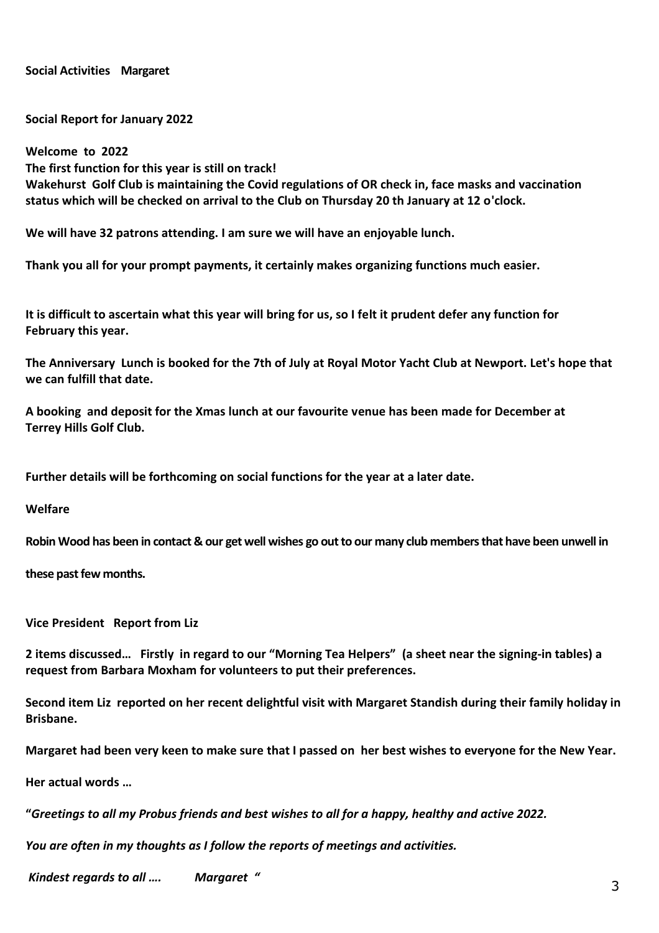**Social Activities Margaret**

**Social Report for January 2022** 

**Welcome to 2022 The first function for this year is still on track! Wakehurst Golf Club is maintaining the Covid regulations of OR check in, face masks and vaccination status which will be checked on arrival to the Club on Thursday 20 th January at 12 o'clock.** 

**We will have 32 patrons attending. I am sure we will have an enjoyable lunch.** 

**Thank you all for your prompt payments, it certainly makes organizing functions much easier.** 

**It is difficult to ascertain what this year will bring for us, so I felt it prudent defer any function for February this year.** 

**The Anniversary Lunch is booked for the 7th of July at Royal Motor Yacht Club at Newport. Let's hope that we can fulfill that date.** 

**A booking and deposit for the Xmas lunch at our favourite venue has been made for December at Terrey Hills Golf Club.** 

**Further details will be forthcoming on social functions for the year at a later date.**

**Welfare**

**Robin Wood has been in contact & our get well wishes go out to our many club members that have been unwell in** 

**these past few months.**

**Vice President Report from Liz**

**2 items discussed… Firstly in regard to our "Morning Tea Helpers" (a sheet near the signing-in tables) a request from Barbara Moxham for volunteers to put their preferences.**

**Second item Liz reported on her recent delightful visit with Margaret Standish during their family holiday in Brisbane.**

**Margaret had been very keen to make sure that I passed on her best wishes to everyone for the New Year.**

**Her actual words …** 

**"***Greetings to all my Probus friends and best wishes to all for a happy, healthy and active 2022.* 

*You are often in my thoughts as I follow the reports of meetings and activities.*

*Kindest regards to all …. Margaret "*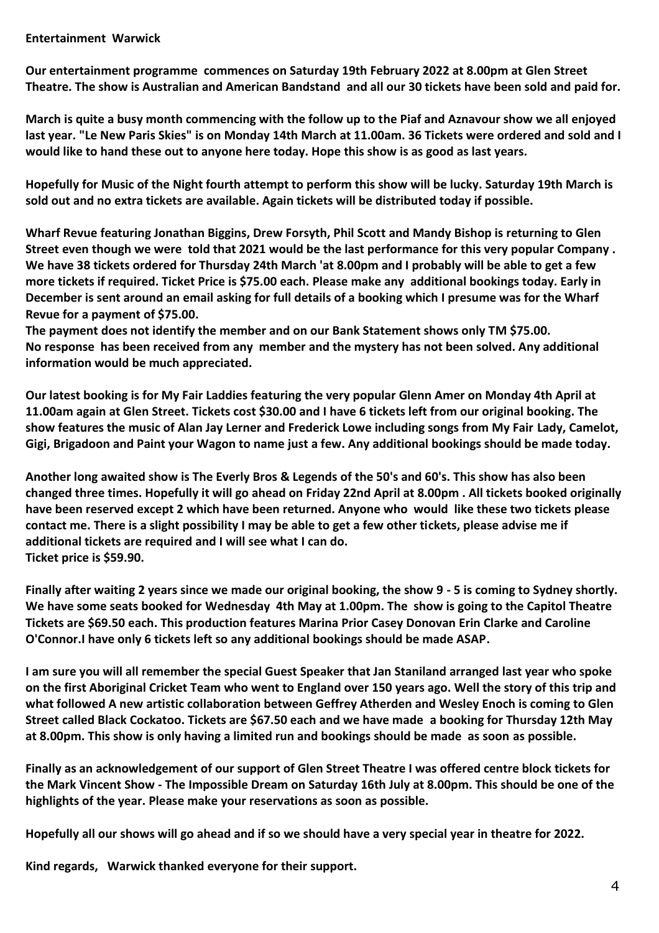# **Entertainment Warwick**

**Our entertainment programme commences on Saturday 19th February 2022 at 8.00pm at Glen Street Theatre. The show is Australian and American Bandstand and all our 30 tickets have been sold and paid for.** 

**March is quite a busy month commencing with the follow up to the Piaf and Aznavour show we all enjoyed last year. "Le New Paris Skies" is on Monday 14th March at 11.00am. 36 Tickets were ordered and sold and I would like to hand these out to anyone here today. Hope this show is as good as last years.** 

**Hopefully for Music of the Night fourth attempt to perform this show will be lucky. Saturday 19th March is sold out and no extra tickets are available. Again tickets will be distributed today if possible.** 

**Wharf Revue featuring Jonathan Biggins, Drew Forsyth, Phil Scott and Mandy Bishop is returning to Glen Street even though we were told that 2021 would be the last performance for this very popular Company . We have 38 tickets ordered for Thursday 24th March 'at 8.00pm and I probably will be able to get a few more tickets if required. Ticket Price is \$75.00 each. Please make any additional bookings today. Early in December is sent around an email asking for full details of a booking which I presume was for the Wharf Revue for a payment of \$75.00.** 

**The payment does not identify the member and on our Bank Statement shows only TM \$75.00. No response has been received from any member and the mystery has not been solved. Any additional information would be much appreciated.** 

**Our latest booking is for My Fair Laddies featuring the very popular Glenn Amer on Monday 4th April at 11.00am again at Glen Street. Tickets cost \$30.00 and I have 6 tickets left from our original booking. The show features the music of Alan Jay Lerner and Frederick Lowe including songs from My Fair Lady, Camelot, Gigi, Brigadoon and Paint your Wagon to name just a few. Any additional bookings should be made today.** 

**Another long awaited show is The Everly Bros & Legends of the 50's and 60's. This show has also been changed three times. Hopefully it will go ahead on Friday 22nd April at 8.00pm . All tickets booked originally have been reserved except 2 which have been returned. Anyone who would like these two tickets please contact me. There is a slight possibility I may be able to get a few other tickets, please advise me if additional tickets are required and I will see what I can do. Ticket price is \$59.90.** 

**Finally after waiting 2 years since we made our original booking, the show 9 - 5 is coming to Sydney shortly. We have some seats booked for Wednesday 4th May at 1.00pm. The show is going to the Capitol Theatre Tickets are \$69.50 each. This production features Marina Prior Casey Donovan Erin Clarke and Caroline O'Connor.I have only 6 tickets left so any additional bookings should be made ASAP.** 

**I am sure you will all remember the special Guest Speaker that Jan Staniland arranged last year who spoke on the first Aboriginal Cricket Team who went to England over 150 years ago. Well the story of this trip and what followed A new artistic collaboration between Geffrey Atherden and Wesley Enoch is coming to Glen Street called Black Cockatoo. Tickets are \$67.50 each and we have made a booking for Thursday 12th May at 8.00pm. This show is only having a limited run and bookings should be made as soon as possible.** 

**Finally as an acknowledgement of our support of Glen Street Theatre I was offered centre block tickets for the Mark Vincent Show - The Impossible Dream on Saturday 16th July at 8.00pm. This should be one of the highlights of the year. Please make your reservations as soon as possible.** 

**Hopefully all our shows will go ahead and if so we should have a very special year in theatre for 2022.** 

**Kind regards, Warwick thanked everyone for their support.**